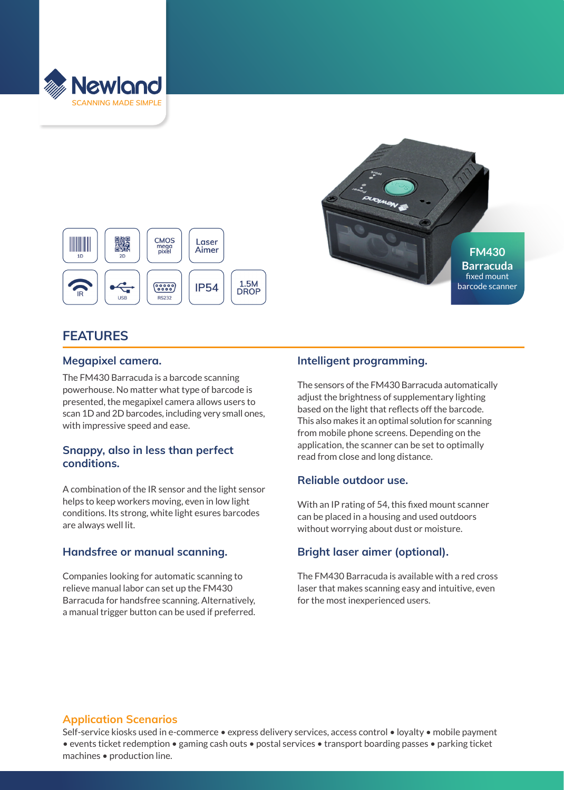



# **FEATURES**

### **Megapixel camera.**

The FM430 Barracuda is a barcode scanning powerhouse. No matter what type of barcode is presented, the megapixel camera allows users to scan 1D and 2D barcodes, including very small ones, with impressive speed and ease.

### **Snappy, also in less than perfect conditions.**

A combination of the IR sensor and the light sensor helps to keep workers moving, even in low light conditions. Its strong, white light esures barcodes are always well lit.

### **Handsfree or manual scanning.**

Companies looking for automatic scanning to relieve manual labor can set up the FM430 Barracuda for handsfree scanning. Alternatively, a manual trigger button can be used if preferred.

# **Intelligent programming.**

The sensors of the FM430 Barracuda automatically adjust the brightness of supplementary lighting based on the light that reflects off the barcode. This also makes it an optimal solution for scanning from mobile phone screens. Depending on the application, the scanner can be set to optimally read from close and long distance.

# **Reliable outdoor use.**

With an IP rating of 54, this fixed mount scanner can be placed in a housing and used outdoors without worrying about dust or moisture.

# **Bright laser aimer (optional).**

The FM430 Barracuda is available with a red cross laser that makes scanning easy and intuitive, even for the most inexperienced users.

# **Application Scenarios**

Self-service kiosks used in e-commerce • express delivery services, access control • loyalty • mobile payment • events ticket redemption • gaming cash outs • postal services • transport boarding passes • parking ticket machines • production line.